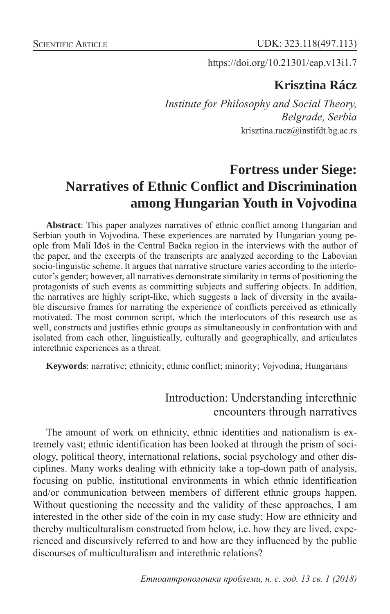https://doi.org/10.21301/eap.v13i1.7

# **Krisztina Rácz**

*Institute for Philosophy and Social Theory, Belgrade, Serbia* krisztina.racz@instifdt.bg.ac.rs

# **Fortress under Siege: Narratives of Ethnic Conflict and Discrimination among Hungarian Youth in Vojvodina**

**Abstract**: This paper analyzes narratives of ethnic conflict among Hungarian and Serbian youth in Vojvodina. These experiences are narrated by Hungarian young people from Mali Iđoš in the Central Bačka region in the interviews with the author of the paper, and the excerpts of the transcripts are analyzed according to the Labovian socio-linguistic scheme. It argues that narrative structure varies according to the interlocutor's gender; however, all narratives demonstrate similarity in terms of positioning the protagonists of such events as committing subjects and suffering objects. In addition, the narratives are highly script-like, which suggests a lack of diversity in the available discursive frames for narrating the experience of conflicts perceived as ethnically motivated. The most common script, which the interlocutors of this research use as well, constructs and justifies ethnic groups as simultaneously in confrontation with and isolated from each other, linguistically, culturally and geographically, and articulates interethnic experiences as a threat.

**Keywords**: narrative; ethnicity; ethnic conflict; minority; Vojvodina; Hungarians

### Introduction: Understanding interethnic encounters through narratives

The amount of work on ethnicity, ethnic identities and nationalism is extremely vast; ethnic identification has been looked at through the prism of sociology, political theory, international relations, social psychology and other disciplines. Many works dealing with ethnicity take a top-down path of analysis, focusing on public, institutional environments in which ethnic identification and/or communication between members of different ethnic groups happen. Without questioning the necessity and the validity of these approaches, I am interested in the other side of the coin in my case study: How are ethnicity and thereby multiculturalism constructed from below, i.e. how they are lived, experienced and discursively referred to and how are they influenced by the public discourses of multiculturalism and interethnic relations?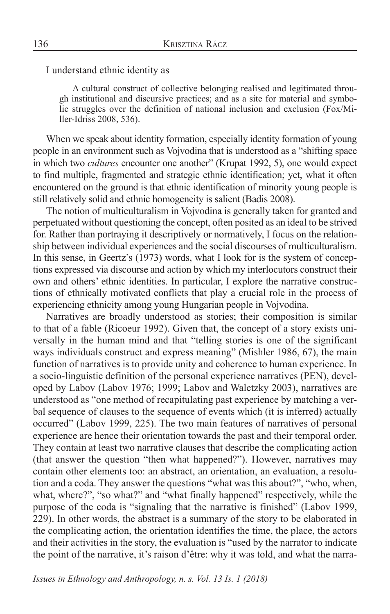I understand ethnic identity as

A cultural construct of collective belonging realised and legitimated through institutional and discursive practices; and as a site for material and symbolic struggles over the definition of national inclusion and exclusion (Fox/Miller-Idriss 2008, 536).

When we speak about identity formation, especially identity formation of young people in an environment such as Vojvodina that is understood as a "shifting space in which two *cultures* encounter one another" (Krupat 1992, 5), one would expect to find multiple, fragmented and strategic ethnic identification; yet, what it often encountered on the ground is that ethnic identification of minority young people is still relatively solid and ethnic homogeneity is salient (Badis 2008).

The notion of multiculturalism in Vojvodina is generally taken for granted and perpetuated without questioning the concept, often posited as an ideal to be strived for. Rather than portraying it descriptively or normatively, I focus on the relationship between individual experiences and the social discourses of multiculturalism. In this sense, in Geertz's (1973) words, what I look for is the system of conceptions expressed via discourse and action by which my interlocutors construct their own and others' ethnic identities. In particular, I explore the narrative constructions of ethnically motivated conflicts that play a crucial role in the process of experiencing ethnicity among young Hungarian people in Vojvodina.

Narratives are broadly understood as stories; their composition is similar to that of a fable (Ricoeur 1992). Given that, the concept of a story exists universally in the human mind and that "telling stories is one of the significant ways individuals construct and express meaning" (Mishler 1986, 67), the main function of narratives is to provide unity and coherence to human experience. In a socio-linguistic definition of the personal experience narratives (PEN), developed by Labov (Labov 1976; 1999; Labov and Waletzky 2003), narratives are understood as "one method of recapitulating past experience by matching a verbal sequence of clauses to the sequence of events which (it is inferred) actually occurred" (Labov 1999, 225). The two main features of narratives of personal experience are hence their orientation towards the past and their temporal order. They contain at least two narrative clauses that describe the complicating action (that answer the question "then what happened?"). However, narratives may contain other elements too: an abstract, an orientation, an evaluation, a resolution and a coda. They answer the questions "what was this about?", "who, when, what, where?", "so what?" and "what finally happened" respectively, while the purpose of the coda is "signaling that the narrative is finished" (Labov 1999, 229). In other words, the abstract is a summary of the story to be elaborated in the complicating action, the orientation identifies the time, the place, the actors and their activities in the story, the evaluation is "used by the narrator to indicate the point of the narrative, it's raison d'être: why it was told, and what the narra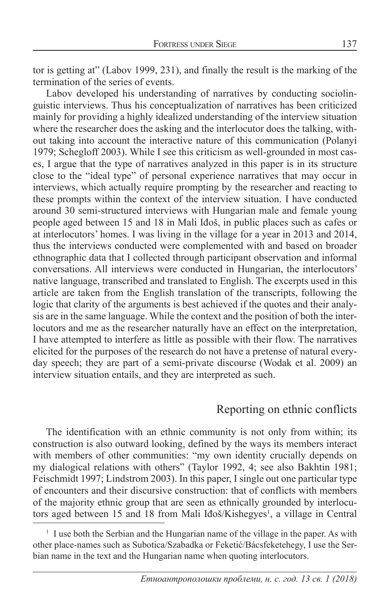tor is getting at" (Labov 1999, 231), and finally the result is the marking of the termination of the series of events.

Labov developed his understanding of narratives by conducting sociolinguistic interviews. Thus his conceptualization of narratives has been criticized mainly for providing a highly idealized understanding of the interview situation where the researcher does the asking and the interlocutor does the talking, without taking into account the interactive nature of this communication (Polanyi 1979; Schegloff 2003). While I see this criticism as well-grounded in most cases, I argue that the type of narratives analyzed in this paper is in its structure close to the "ideal type" of personal experience narratives that may occur in interviews, which actually require prompting by the researcher and reacting to these prompts within the context of the interview situation. I have conducted around 30 semi-structured interviews with Hungarian male and female young people aged between 15 and 18 in Mali Iđoš, in public places such as cafes or at interlocutors' homes. I was living in the village for a year in 2013 and 2014, thus the interviews conducted were complemented with and based on broader ethnographic data that I collected through participant observation and informal conversations. All interviews were conducted in Hungarian, the interlocutors' native language, transcribed and translated to English. The excerpts used in this article are taken from the English translation of the transcripts, following the logic that clarity of the arguments is best achieved if the quotes and their analysis are in the same language. While the context and the position of both the interlocutors and me as the researcher naturally have an effect on the interpretation, I have attempted to interfere as little as possible with their flow. The narratives elicited for the purposes of the research do not have a pretense of natural everyday speech; they are part of a semi-private discourse (Wodak et al. 2009) an interview situation entails, and they are interpreted as such.

#### Reporting on ethnic conflicts

The identification with an ethnic community is not only from within; its construction is also outward looking, defined by the ways its members interact with members of other communities: "my own identity crucially depends on my dialogical relations with others" (Taylor 1992, 4; see also Bakhtin 1981; Feischmidt 1997; Lindstrom 2003). In this paper, I single out one particular type of encounters and their discursive construction: that of conflicts with members of the majority ethnic group that are seen as ethnically grounded by interlocutors aged between 15 and 18 from Mali Idoš/Kishegyes<sup>1</sup>, a village in Central

<sup>&</sup>lt;sup>1</sup> I use both the Serbian and the Hungarian name of the village in the paper. As with other place-names such as Subotica/Szabadka or Feketić/Bácsfeketehegy, I use the Serbian name in the text and the Hungarian name when quoting interlocutors.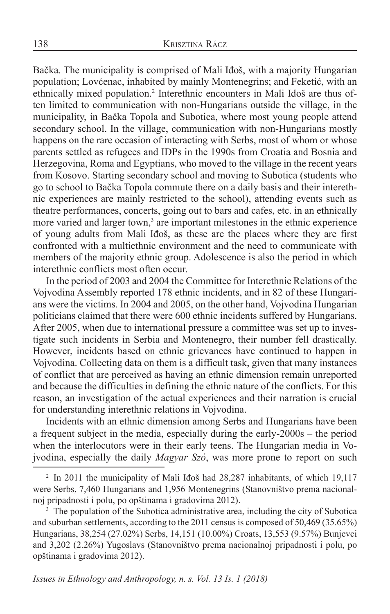Bačka. The municipality is comprised of Mali Iđoš, with a majority Hungarian population; Lovćenac, inhabited by mainly Montenegrins; and Feketić, with an ethnically mixed population.2 Interethnic encounters in Mali Iđoš are thus often limited to communication with non-Hungarians outside the village, in the municipality, in Bačka Topola and Subotica, where most young people attend secondary school. In the village, communication with non-Hungarians mostly happens on the rare occasion of interacting with Serbs, most of whom or whose parents settled as refugees and IDPs in the 1990s from Croatia and Bosnia and Herzegovina, Roma and Egyptians, who moved to the village in the recent years from Kosovo. Starting secondary school and moving to Subotica (students who go to school to Bačka Topola commute there on a daily basis and their interethnic experiences are mainly restricted to the school), attending events such as theatre performances, concerts, going out to bars and cafes, etc. in an ethnically more varied and larger town,<sup>3</sup> are important milestones in the ethnic experience of young adults from Mali Iđoš, as these are the places where they are first confronted with a multiethnic environment and the need to communicate with members of the majority ethnic group. Adolescence is also the period in which interethnic conflicts most often occur.

In the period of 2003 and 2004 the Committee for Interethnic Relations of the Vojvodina Assembly reported 178 ethnic incidents, and in 82 of these Hungarians were the victims. In 2004 and 2005, on the other hand, Vojvodina Hungarian politicians claimed that there were 600 ethnic incidents suffered by Hungarians. After 2005, when due to international pressure a committee was set up to investigate such incidents in Serbia and Montenegro, their number fell drastically. However, incidents based on ethnic grievances have continued to happen in Vojvodina. Collecting data on them is a difficult task, given that many instances of conflict that are perceived as having an ethnic dimension remain unreported and because the difficulties in defining the ethnic nature of the conflicts. For this reason, an investigation of the actual experiences and their narration is crucial for understanding interethnic relations in Vojvodina.

Incidents with an ethnic dimension among Serbs and Hungarians have been a frequent subject in the media, especially during the early-2000s – the period when the interlocutors were in their early teens. The Hungarian media in Vojvodina, especially the daily *Magyar Szó*, was more prone to report on such

<sup>&</sup>lt;sup>2</sup> In 2011 the municipality of Mali Idoš had 28,287 inhabitants, of which 19,117 were Serbs, 7,460 Hungarians and 1,956 Montenegrins (Stanovništvo prema nacionalnoj pripadnosti i polu, po opštinama i gradovima 2012).

<sup>&</sup>lt;sup>3</sup> The population of the Subotica administrative area, including the city of Subotica and suburban settlements, according to the 2011 census is composed of 50,469 (35.65%) Hungarians, 38,254 (27.02%) Serbs, 14,151 (10.00%) Croats, 13,553 (9.57%) Bunjevci and 3,202 (2.26%) Yugoslavs (Stanovništvo prema nacionalnoj pripadnosti i polu, po opštinama i gradovima 2012).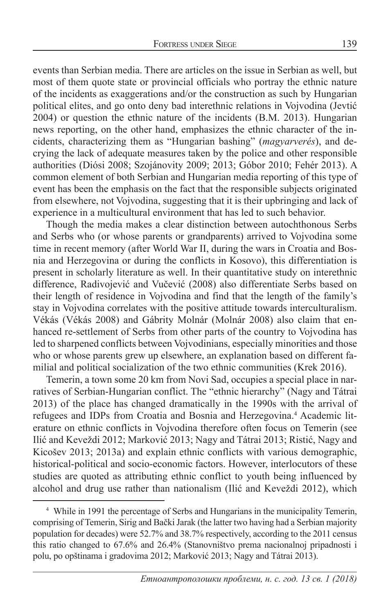events than Serbian media. There are articles on the issue in Serbian as well, but most of them quote state or provincial officials who portray the ethnic nature of the incidents as exaggerations and/or the construction as such by Hungarian political elites, and go onto deny bad interethnic relations in Vojvodina (Jevtić 2004) or question the ethnic nature of the incidents (B.M. 2013). Hungarian news reporting, on the other hand, emphasizes the ethnic character of the incidents, characterizing them as "Hungarian bashing" (*magyarverés*), and decrying the lack of adequate measures taken by the police and other responsible authorities (Diósi 2008; Szojánovity 2009; 2013; Góbor 2010; Fehér 2013). A common element of both Serbian and Hungarian media reporting of this type of event has been the emphasis on the fact that the responsible subjects originated from elsewhere, not Vojvodina, suggesting that it is their upbringing and lack of experience in a multicultural environment that has led to such behavior.

Though the media makes a clear distinction between autochthonous Serbs and Serbs who (or whose parents or grandparents) arrived to Vojvodina some time in recent memory (after World War II, during the wars in Croatia and Bosnia and Herzegovina or during the conflicts in Kosovo), this differentiation is present in scholarly literature as well. In their quantitative study on interethnic difference, Radivojević and Vučević (2008) also differentiate Serbs based on their length of residence in Vojvodina and find that the length of the family's stay in Vojvodina correlates with the positive attitude towards interculturalism. Vékás (Vékás 2008) and Gábrity Molnár (Molnár 2008) also claim that enhanced re-settlement of Serbs from other parts of the country to Vojvodina has led to sharpened conflicts between Vojvodinians, especially minorities and those who or whose parents grew up elsewhere, an explanation based on different familial and political socialization of the two ethnic communities (Krek 2016).

Temerin, a town some 20 km from Novi Sad, occupies a special place in narratives of Serbian-Hungarian conflict. The "ethnic hierarchy" (Nagy and Tátrai 2013) of the place has changed dramatically in the 1990s with the arrival of refugees and IDPs from Croatia and Bosnia and Herzegovina.<sup>4</sup> Academic literature on ethnic conflicts in Vojvodina therefore often focus on Temerin (see Ilić and Keveždi 2012; Marković 2013; Nagy and Tátrai 2013; Ristić, Nagy and Kicošev 2013; 2013a) and explain ethnic conflicts with various demographic, historical-political and socio-economic factors. However, interlocutors of these studies are quoted as attributing ethnic conflict to youth being influenced by alcohol and drug use rather than nationalism (Ilić and Keveždi 2012), which

<sup>4</sup> While in 1991 the percentage of Serbs and Hungarians in the municipality Temerin, comprising of Temerin, Sirig and Bački Jarak (the latter two having had a Serbian majority population for decades) were 52.7% and 38.7% respectively, according to the 2011 census this ratio changed to 67.6% and 26.4% (Stanovništvo prema nacionalnoj pripadnosti i polu, po opštinama i gradovima 2012; Marković 2013; Nagy and Tátrai 2013).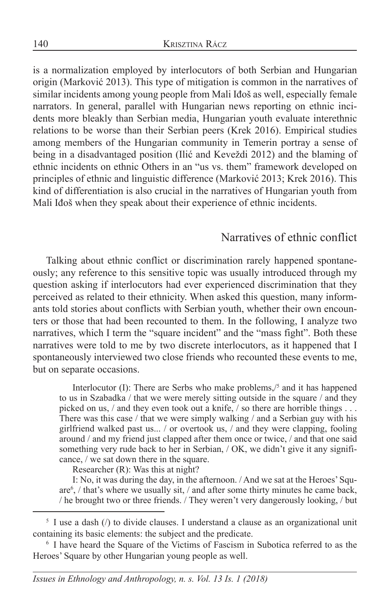is a normalization employed by interlocutors of both Serbian and Hungarian origin (Marković 2013). This type of mitigation is common in the narratives of similar incidents among young people from Mali Iđoš as well, especially female narrators. In general, parallel with Hungarian news reporting on ethnic incidents more bleakly than Serbian media, Hungarian youth evaluate interethnic relations to be worse than their Serbian peers (Krek 2016). Empirical studies among members of the Hungarian community in Temerin portray a sense of being in a disadvantaged position (Ilić and Keveždi 2012) and the blaming of ethnic incidents on ethnic Others in an "us vs. them" framework developed on principles of ethnic and linguistic difference (Marković 2013; Krek 2016). This kind of differentiation is also crucial in the narratives of Hungarian youth from Mali Iđoš when they speak about their experience of ethnic incidents.

### Narratives of ethnic conflict

Talking about ethnic conflict or discrimination rarely happened spontaneously; any reference to this sensitive topic was usually introduced through my question asking if interlocutors had ever experienced discrimination that they perceived as related to their ethnicity. When asked this question, many informants told stories about conflicts with Serbian youth, whether their own encounters or those that had been recounted to them. In the following, I analyze two narratives, which I term the "square incident" and the "mass fight". Both these narratives were told to me by two discrete interlocutors, as it happened that I spontaneously interviewed two close friends who recounted these events to me, but on separate occasions.

Interlocutor (I): There are Serbs who make problems,/5 and it has happened to us in Szabadka / that we were merely sitting outside in the square / and they picked on us, / and they even took out a knife, / so there are horrible things . . . There was this case / that we were simply walking / and a Serbian guy with his girlfriend walked past us... / or overtook us, / and they were clapping, fooling around / and my friend just clapped after them once or twice, / and that one said something very rude back to her in Serbian, / OK, we didn't give it any significance, / we sat down there in the square.

Researcher (R): Was this at night?

I: No, it was during the day, in the afternoon. / And we sat at the Heroes' Square6 , / that's where we usually sit, / and after some thirty minutes he came back, / he brought two or three friends. / They weren't very dangerously looking, / but

 $5$  I use a dash ( $\ell$ ) to divide clauses. I understand a clause as an organizational unit containing its basic elements: the subject and the predicate.

<sup>&</sup>lt;sup>6</sup> I have heard the Square of the Victims of Fascism in Subotica referred to as the Heroes' Square by other Hungarian young people as well.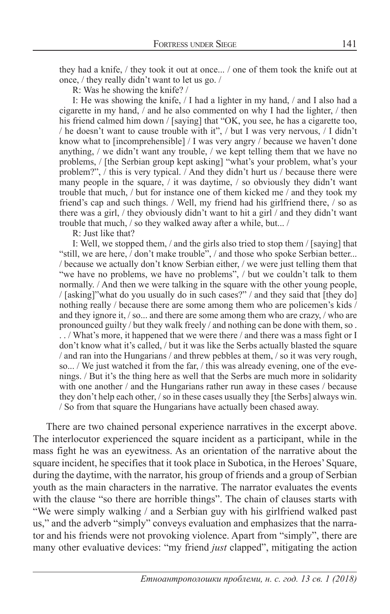they had a knife, / they took it out at once... / one of them took the knife out at once, / they really didn't want to let us go. /

R: Was he showing the knife? /

I: He was showing the knife, / I had a lighter in my hand, / and I also had a cigarette in my hand, / and he also commented on why I had the lighter, / then his friend calmed him down / [saying] that "OK, you see, he has a cigarette too, / he doesn't want to cause trouble with it", / but I was very nervous, / I didn't know what to [incomprehensible] / I was very angry / because we haven't done anything, / we didn't want any trouble, / we kept telling them that we have no problems, / [the Serbian group kept asking] "what's your problem, what's your problem?", / this is very typical. / And they didn't hurt us / because there were many people in the square, / it was daytime, / so obviously they didn't want trouble that much, / but for instance one of them kicked me / and they took my friend's cap and such things. / Well, my friend had his girlfriend there, / so as there was a girl, / they obviously didn't want to hit a girl / and they didn't want trouble that much, / so they walked away after a while, but... /

R: Just like that?

I: Well, we stopped them, / and the girls also tried to stop them / [saying] that "still, we are here, / don't make trouble", / and those who spoke Serbian better... / because we actually don't know Serbian either, / we were just telling them that "we have no problems, we have no problems", / but we couldn't talk to them normally. / And then we were talking in the square with the other young people, / [asking]"what do you usually do in such cases?" / and they said that [they do] nothing really / because there are some among them who are policemen's kids / and they ignore it, / so... and there are some among them who are crazy, / who are pronounced guilty / but they walk freely / and nothing can be done with them, so . . . / What's more, it happened that we were there / and there was a mass fight or I don't know what it's called, / but it was like the Serbs actually blasted the square / and ran into the Hungarians / and threw pebbles at them, / so it was very rough, so... / We just watched it from the far, / this was already evening, one of the evenings. / But it's the thing here as well that the Serbs are much more in solidarity with one another / and the Hungarians rather run away in these cases / because they don't help each other, / so in these cases usually they [the Serbs] always win. / So from that square the Hungarians have actually been chased away.

There are two chained personal experience narratives in the excerpt above. The interlocutor experienced the square incident as a participant, while in the mass fight he was an eyewitness. As an orientation of the narrative about the square incident, he specifies that it took place in Subotica, in the Heroes' Square, during the daytime, with the narrator, his group of friends and a group of Serbian youth as the main characters in the narrative. The narrator evaluates the events with the clause "so there are horrible things". The chain of clauses starts with "We were simply walking / and a Serbian guy with his girlfriend walked past us," and the adverb "simply" conveys evaluation and emphasizes that the narrator and his friends were not provoking violence. Apart from "simply", there are many other evaluative devices: "my friend *just* clapped", mitigating the action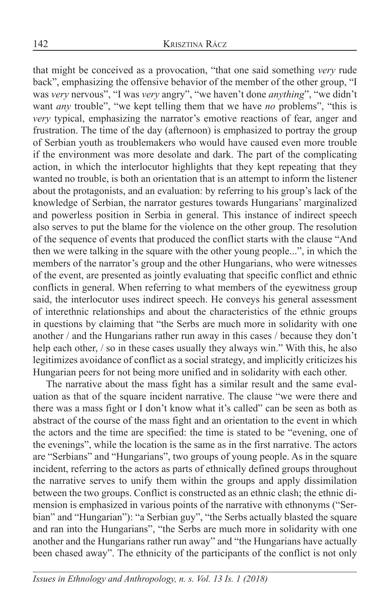that might be conceived as a provocation, "that one said something *very* rude back", emphasizing the offensive behavior of the member of the other group, "I was *very* nervous", "I was *very* angry", "we haven't done *anything*", "we didn't want *any* trouble", "we kept telling them that we have *no* problems", "this is *very* typical, emphasizing the narrator's emotive reactions of fear, anger and frustration. The time of the day (afternoon) is emphasized to portray the group of Serbian youth as troublemakers who would have caused even more trouble if the environment was more desolate and dark. The part of the complicating action, in which the interlocutor highlights that they kept repeating that they wanted no trouble, is both an orientation that is an attempt to inform the listener about the protagonists, and an evaluation: by referring to his group's lack of the knowledge of Serbian, the narrator gestures towards Hungarians' marginalized and powerless position in Serbia in general. This instance of indirect speech also serves to put the blame for the violence on the other group. The resolution of the sequence of events that produced the conflict starts with the clause "And then we were talking in the square with the other young people...", in which the members of the narrator's group and the other Hungarians, who were witnesses of the event, are presented as jointly evaluating that specific conflict and ethnic conflicts in general. When referring to what members of the eyewitness group said, the interlocutor uses indirect speech. He conveys his general assessment of interethnic relationships and about the characteristics of the ethnic groups in questions by claiming that "the Serbs are much more in solidarity with one another / and the Hungarians rather run away in this cases / because they don't help each other, / so in these cases usually they always win." With this, he also legitimizes avoidance of conflict as a social strategy, and implicitly criticizes his Hungarian peers for not being more unified and in solidarity with each other.

The narrative about the mass fight has a similar result and the same evaluation as that of the square incident narrative. The clause "we were there and there was a mass fight or I don't know what it's called" can be seen as both as abstract of the course of the mass fight and an orientation to the event in which the actors and the time are specified: the time is stated to be "evening, one of the evenings", while the location is the same as in the first narrative. The actors are "Serbians" and "Hungarians", two groups of young people. As in the square incident, referring to the actors as parts of ethnically defined groups throughout the narrative serves to unify them within the groups and apply dissimilation between the two groups. Conflict is constructed as an ethnic clash; the ethnic dimension is emphasized in various points of the narrative with ethnonyms ("Serbian" and "Hungarian"): "a Serbian guy", "the Serbs actually blasted the square and ran into the Hungarians", "the Serbs are much more in solidarity with one another and the Hungarians rather run away" and "the Hungarians have actually been chased away". The ethnicity of the participants of the conflict is not only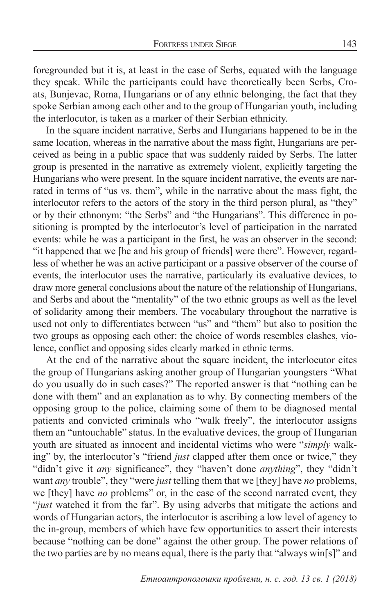foregrounded but it is, at least in the case of Serbs, equated with the language they speak. While the participants could have theoretically been Serbs, Croats, Bunjevac, Roma, Hungarians or of any ethnic belonging, the fact that they spoke Serbian among each other and to the group of Hungarian youth, including the interlocutor, is taken as a marker of their Serbian ethnicity.

In the square incident narrative, Serbs and Hungarians happened to be in the same location, whereas in the narrative about the mass fight, Hungarians are perceived as being in a public space that was suddenly raided by Serbs. The latter group is presented in the narrative as extremely violent, explicitly targeting the Hungarians who were present. In the square incident narrative, the events are narrated in terms of "us vs. them", while in the narrative about the mass fight, the interlocutor refers to the actors of the story in the third person plural, as "they" or by their ethnonym: "the Serbs" and "the Hungarians". This difference in positioning is prompted by the interlocutor's level of participation in the narrated events: while he was a participant in the first, he was an observer in the second: "it happened that we [he and his group of friends] were there". However, regardless of whether he was an active participant or a passive observer of the course of events, the interlocutor uses the narrative, particularly its evaluative devices, to draw more general conclusions about the nature of the relationship of Hungarians, and Serbs and about the "mentality" of the two ethnic groups as well as the level of solidarity among their members. The vocabulary throughout the narrative is used not only to differentiates between "us" and "them" but also to position the two groups as opposing each other: the choice of words resembles clashes, violence, conflict and opposing sides clearly marked in ethnic terms.

At the end of the narrative about the square incident, the interlocutor cites the group of Hungarians asking another group of Hungarian youngsters "What do you usually do in such cases?" The reported answer is that "nothing can be done with them" and an explanation as to why. By connecting members of the opposing group to the police, claiming some of them to be diagnosed mental patients and convicted criminals who "walk freely", the interlocutor assigns them an "untouchable" status. In the evaluative devices, the group of Hungarian youth are situated as innocent and incidental victims who were "*simply* walking" by, the interlocutor's "friend *just* clapped after them once or twice," they "didn't give it *any* significance", they "haven't done *anything*", they "didn't want *any* trouble", they "were *just* telling them that we [they] have *no* problems, we [they] have *no* problems" or, in the case of the second narrated event, they "*just* watched it from the far". By using adverbs that mitigate the actions and words of Hungarian actors, the interlocutor is ascribing a low level of agency to the in-group, members of which have few opportunities to assert their interests because "nothing can be done" against the other group. The power relations of the two parties are by no means equal, there is the party that "always win[s]" and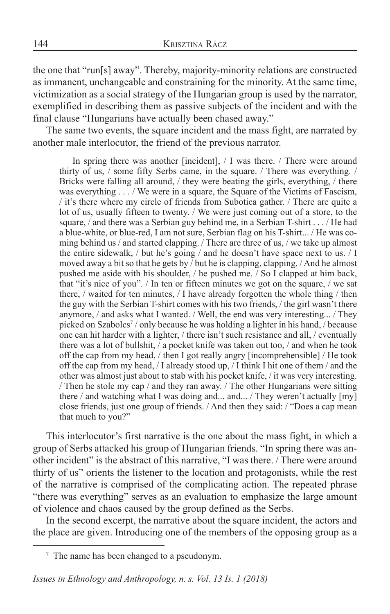the one that "run[s] away". Thereby, majority-minority relations are constructed as immanent, unchangeable and constraining for the minority. At the same time, victimization as a social strategy of the Hungarian group is used by the narrator, exemplified in describing them as passive subjects of the incident and with the final clause "Hungarians have actually been chased away."

The same two events, the square incident and the mass fight, are narrated by another male interlocutor, the friend of the previous narrator.

In spring there was another [incident], / I was there. / There were around thirty of us, / some fifty Serbs came, in the square. / There was everything. / Bricks were falling all around, / they were beating the girls, everything, / there was everything  $\ldots$  / We were in a square, the Square of the Victims of Fascism, / it's there where my circle of friends from Subotica gather. / There are quite a lot of us, usually fifteen to twenty. / We were just coming out of a store, to the square, / and there was a Serbian guy behind me, in a Serbian T-shirt . . . / He had a blue-white, or blue-red, I am not sure, Serbian flag on his T-shirt... / He was coming behind us / and started clapping. / There are three of us, / we take up almost the entire sidewalk, / but he's going / and he doesn't have space next to us. / I moved away a bit so that he gets by / but he is clapping, clapping. / And he almost pushed me aside with his shoulder, / he pushed me. / So I clapped at him back, that "it's nice of you". / In ten or fifteen minutes we got on the square, / we sat there, / waited for ten minutes, / I have already forgotten the whole thing / then the guy with the Serbian T-shirt comes with his two friends, / the girl wasn't there anymore, / and asks what I wanted. / Well, the end was very interesting... / They picked on Szabolcs<sup>7</sup> / only because he was holding a lighter in his hand, / because one can hit harder with a lighter, / there isn't such resistance and all, / eventually there was a lot of bullshit, / a pocket knife was taken out too, / and when he took off the cap from my head, / then I got really angry [incomprehensible] / He took off the cap from my head, / I already stood up, / I think I hit one of them / and the other was almost just about to stab with his pocket knife, / it was very interesting. / Then he stole my cap / and they ran away. / The other Hungarians were sitting there / and watching what I was doing and... and... / They weren't actually [my] close friends, just one group of friends. / And then they said: / "Does a cap mean that much to you?"

This interlocutor's first narrative is the one about the mass fight, in which a group of Serbs attacked his group of Hungarian friends. "In spring there was another incident" is the abstract of this narrative, "I was there. / There were around thirty of us" orients the listener to the location and protagonists, while the rest of the narrative is comprised of the complicating action. The repeated phrase "there was everything" serves as an evaluation to emphasize the large amount of violence and chaos caused by the group defined as the Serbs.

In the second excerpt, the narrative about the square incident, the actors and the place are given. Introducing one of the members of the opposing group as a

<sup>&</sup>lt;sup>7</sup> The name has been changed to a pseudonym.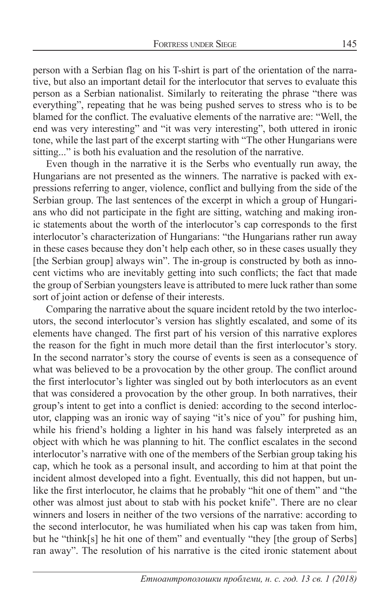person with a Serbian flag on his T-shirt is part of the orientation of the narrative, but also an important detail for the interlocutor that serves to evaluate this person as a Serbian nationalist. Similarly to reiterating the phrase "there was everything", repeating that he was being pushed serves to stress who is to be blamed for the conflict. The evaluative elements of the narrative are: "Well, the end was very interesting" and "it was very interesting", both uttered in ironic tone, while the last part of the excerpt starting with "The other Hungarians were sitting..." is both his evaluation and the resolution of the narrative.

Even though in the narrative it is the Serbs who eventually run away, the Hungarians are not presented as the winners. The narrative is packed with expressions referring to anger, violence, conflict and bullying from the side of the Serbian group. The last sentences of the excerpt in which a group of Hungarians who did not participate in the fight are sitting, watching and making ironic statements about the worth of the interlocutor's cap corresponds to the first interlocutor's characterization of Hungarians: "the Hungarians rather run away in these cases because they don't help each other, so in these cases usually they [the Serbian group] always win". The in-group is constructed by both as innocent victims who are inevitably getting into such conflicts; the fact that made the group of Serbian youngsters leave is attributed to mere luck rather than some sort of joint action or defense of their interests.

Comparing the narrative about the square incident retold by the two interlocutors, the second interlocutor's version has slightly escalated, and some of its elements have changed. The first part of his version of this narrative explores the reason for the fight in much more detail than the first interlocutor's story. In the second narrator's story the course of events is seen as a consequence of what was believed to be a provocation by the other group. The conflict around the first interlocutor's lighter was singled out by both interlocutors as an event that was considered a provocation by the other group. In both narratives, their group's intent to get into a conflict is denied: according to the second interlocutor, clapping was an ironic way of saying "it's nice of you" for pushing him, while his friend's holding a lighter in his hand was falsely interpreted as an object with which he was planning to hit. The conflict escalates in the second interlocutor's narrative with one of the members of the Serbian group taking his cap, which he took as a personal insult, and according to him at that point the incident almost developed into a fight. Eventually, this did not happen, but unlike the first interlocutor, he claims that he probably "hit one of them" and "the other was almost just about to stab with his pocket knife". There are no clear winners and losers in neither of the two versions of the narrative: according to the second interlocutor, he was humiliated when his cap was taken from him, but he "think[s] he hit one of them" and eventually "they [the group of Serbs] ran away". The resolution of his narrative is the cited ironic statement about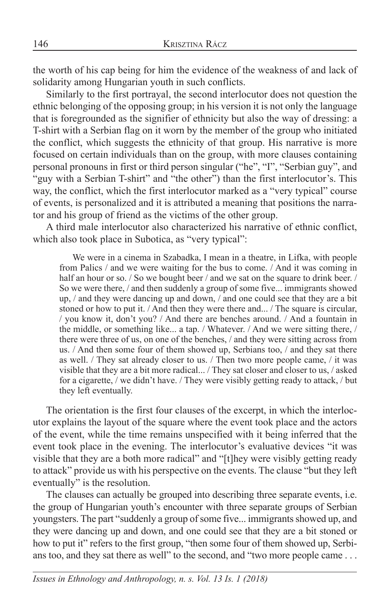the worth of his cap being for him the evidence of the weakness of and lack of solidarity among Hungarian youth in such conflicts.

Similarly to the first portrayal, the second interlocutor does not question the ethnic belonging of the opposing group; in his version it is not only the language that is foregrounded as the signifier of ethnicity but also the way of dressing: a T-shirt with a Serbian flag on it worn by the member of the group who initiated the conflict, which suggests the ethnicity of that group. His narrative is more focused on certain individuals than on the group, with more clauses containing personal pronouns in first or third person singular ("he", "I", "Serbian guy", and "guy with a Serbian T-shirt" and "the other") than the first interlocutor's. This way, the conflict, which the first interlocutor marked as a "very typical" course of events, is personalized and it is attributed a meaning that positions the narrator and his group of friend as the victims of the other group.

A third male interlocutor also characterized his narrative of ethnic conflict, which also took place in Subotica, as "very typical":

We were in a cinema in Szabadka, I mean in a theatre, in Lifka, with people from Palics / and we were waiting for the bus to come. / And it was coming in half an hour or so. / So we bought beer / and we sat on the square to drink beer. / So we were there, / and then suddenly a group of some five... immigrants showed up, / and they were dancing up and down, / and one could see that they are a bit stoned or how to put it. / And then they were there and... / The square is circular, / you know it, don't you? / And there are benches around. / And a fountain in the middle, or something like... a tap. / Whatever. / And we were sitting there, / there were three of us, on one of the benches, / and they were sitting across from us. / And then some four of them showed up, Serbians too, / and they sat there as well. / They sat already closer to us. / Then two more people came, / it was visible that they are a bit more radical... / They sat closer and closer to us, / asked for a cigarette, / we didn't have. / They were visibly getting ready to attack, / but they left eventually.

The orientation is the first four clauses of the excerpt, in which the interlocutor explains the layout of the square where the event took place and the actors of the event, while the time remains unspecified with it being inferred that the event took place in the evening. The interlocutor's evaluative devices "it was visible that they are a both more radical" and "[t]hey were visibly getting ready to attack" provide us with his perspective on the events. The clause "but they left eventually" is the resolution.

The clauses can actually be grouped into describing three separate events, i.e. the group of Hungarian youth's encounter with three separate groups of Serbian youngsters. The part "suddenly a group of some five... immigrants showed up, and they were dancing up and down, and one could see that they are a bit stoned or how to put it" refers to the first group, "then some four of them showed up, Serbians too, and they sat there as well" to the second, and "two more people came . . .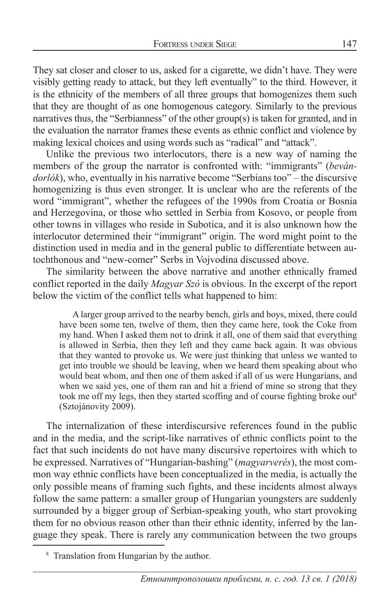They sat closer and closer to us, asked for a cigarette, we didn't have. They were visibly getting ready to attack, but they left eventually" to the third. However, it is the ethnicity of the members of all three groups that homogenizes them such that they are thought of as one homogenous category. Similarly to the previous narratives thus, the "Serbianness" of the other group(s) is taken for granted, and in the evaluation the narrator frames these events as ethnic conflict and violence by making lexical choices and using words such as "radical" and "attack".

Unlike the previous two interlocutors, there is a new way of naming the members of the group the narrator is confronted with: "immigrants" (*bevándorlók*), who, eventually in his narrative become "Serbians too" – the discursive homogenizing is thus even stronger. It is unclear who are the referents of the word "immigrant", whether the refugees of the 1990s from Croatia or Bosnia and Herzegovina, or those who settled in Serbia from Kosovo, or people from other towns in villages who reside in Subotica, and it is also unknown how the interlocutor determined their "immigrant" origin. The word might point to the distinction used in media and in the general public to differentiate between autochthonous and "new-comer" Serbs in Vojvodina discussed above.

The similarity between the above narrative and another ethnically framed conflict reported in the daily *Magyar Szó* is obvious. In the excerpt of the report below the victim of the conflict tells what happened to him:

A larger group arrived to the nearby bench, girls and boys, mixed, there could have been some ten, twelve of them, then they came here, took the Coke from my hand. When I asked them not to drink it all, one of them said that everything is allowed in Serbia, then they left and they came back again. It was obvious that they wanted to provoke us. We were just thinking that unless we wanted to get into trouble we should be leaving, when we heard them speaking about who would beat whom, and then one of them asked if all of us were Hungarians, and when we said yes, one of them ran and hit a friend of mine so strong that they took me off my legs, then they started scoffing and of course fighting broke out<sup>8</sup> (Sztojánovity 2009).

The internalization of these interdiscursive references found in the public and in the media, and the script-like narratives of ethnic conflicts point to the fact that such incidents do not have many discursive repertoires with which to be expressed. Narratives of "Hungarian-bashing" (*magyarverés*), the most common way ethnic conflicts have been conceptualized in the media, is actually the only possible means of framing such fights, and these incidents almost always follow the same pattern: a smaller group of Hungarian youngsters are suddenly surrounded by a bigger group of Serbian-speaking youth, who start provoking them for no obvious reason other than their ethnic identity, inferred by the language they speak. There is rarely any communication between the two groups

<sup>8</sup> Translation from Hungarian by the author.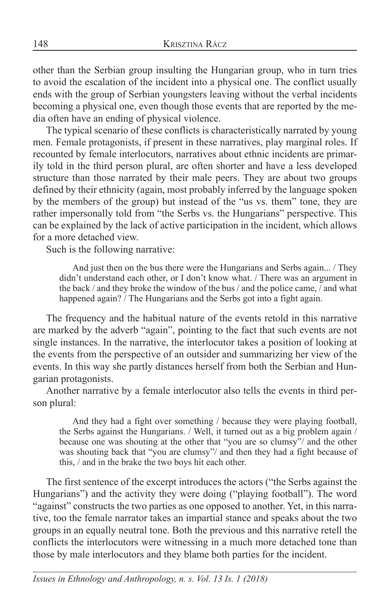other than the Serbian group insulting the Hungarian group, who in turn tries to avoid the escalation of the incident into a physical one. The conflict usually ends with the group of Serbian youngsters leaving without the verbal incidents becoming a physical one, even though those events that are reported by the media often have an ending of physical violence.

The typical scenario of these conflicts is characteristically narrated by young men. Female protagonists, if present in these narratives, play marginal roles. If recounted by female interlocutors, narratives about ethnic incidents are primarily told in the third person plural, are often shorter and have a less developed structure than those narrated by their male peers. They are about two groups defined by their ethnicity (again, most probably inferred by the language spoken by the members of the group) but instead of the "us vs. them" tone, they are rather impersonally told from "the Serbs vs. the Hungarians" perspective. This can be explained by the lack of active participation in the incident, which allows for a more detached view.

Such is the following narrative:

And just then on the bus there were the Hungarians and Serbs again... / They didn't understand each other, or I don't know what. / There was an argument in the back / and they broke the window of the bus / and the police came, / and what happened again? / The Hungarians and the Serbs got into a fight again.

The frequency and the habitual nature of the events retold in this narrative are marked by the adverb "again", pointing to the fact that such events are not single instances. In the narrative, the interlocutor takes a position of looking at the events from the perspective of an outsider and summarizing her view of the events. In this way she partly distances herself from both the Serbian and Hungarian protagonists.

Another narrative by a female interlocutor also tells the events in third person plural:

And they had a fight over something / because they were playing football, the Serbs against the Hungarians. / Well, it turned out as a big problem again / because one was shouting at the other that "you are so clumsy"/ and the other was shouting back that "you are clumsy"/ and then they had a fight because of this, / and in the brake the two boys hit each other.

The first sentence of the excerpt introduces the actors ("the Serbs against the Hungarians") and the activity they were doing ("playing football"). The word "against" constructs the two parties as one opposed to another. Yet, in this narrative, too the female narrator takes an impartial stance and speaks about the two groups in an equally neutral tone. Both the previous and this narrative retell the conflicts the interlocutors were witnessing in a much more detached tone than those by male interlocutors and they blame both parties for the incident.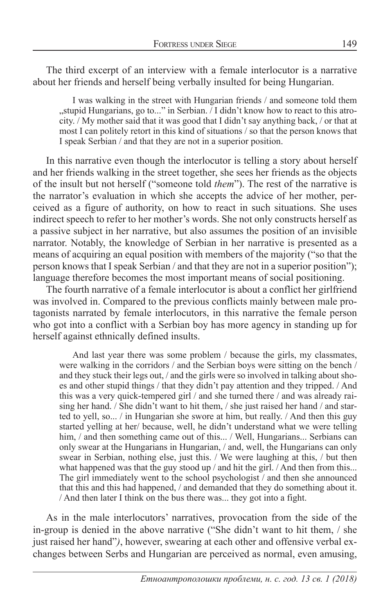The third excerpt of an interview with a female interlocutor is a narrative about her friends and herself being verbally insulted for being Hungarian.

I was walking in the street with Hungarian friends / and someone told them "stupid Hungarians, go to..." in Serbian. / I didn't know how to react to this atrocity. / My mother said that it was good that I didn't say anything back, / or that at most I can politely retort in this kind of situations / so that the person knows that I speak Serbian / and that they are not in a superior position.

In this narrative even though the interlocutor is telling a story about herself and her friends walking in the street together, she sees her friends as the objects of the insult but not herself ("someone told *them*"). The rest of the narrative is the narrator's evaluation in which she accepts the advice of her mother, perceived as a figure of authority, on how to react in such situations. She uses indirect speech to refer to her mother's words. She not only constructs herself as a passive subject in her narrative, but also assumes the position of an invisible narrator. Notably, the knowledge of Serbian in her narrative is presented as a means of acquiring an equal position with members of the majority ("so that the person knows that I speak Serbian / and that they are not in a superior position"); language therefore becomes the most important means of social positioning.

The fourth narrative of a female interlocutor is about a conflict her girlfriend was involved in. Compared to the previous conflicts mainly between male protagonists narrated by female interlocutors, in this narrative the female person who got into a conflict with a Serbian boy has more agency in standing up for herself against ethnically defined insults.

And last year there was some problem / because the girls, my classmates, were walking in the corridors / and the Serbian boys were sitting on the bench / and they stuck their legs out, / and the girls were so involved in talking about shoes and other stupid things / that they didn't pay attention and they tripped. / And this was a very quick-tempered girl / and she turned there / and was already raising her hand. / She didn't want to hit them, / she just raised her hand / and started to yell, so... / in Hungarian she swore at him, but really. / And then this guy started yelling at her/ because, well, he didn't understand what we were telling him, / and then something came out of this... / Well, Hungarians... Serbians can only swear at the Hungarians in Hungarian, / and, well, the Hungarians can only swear in Serbian, nothing else, just this. / We were laughing at this, / but then what happened was that the guy stood up / and hit the girl. / And then from this... The girl immediately went to the school psychologist / and then she announced that this and this had happened, / and demanded that they do something about it. / And then later I think on the bus there was... they got into a fight.

As in the male interlocutors' narratives, provocation from the side of the in-group is denied in the above narrative ("She didn't want to hit them, / she just raised her hand"*)*, however, swearing at each other and offensive verbal exchanges between Serbs and Hungarian are perceived as normal, even amusing,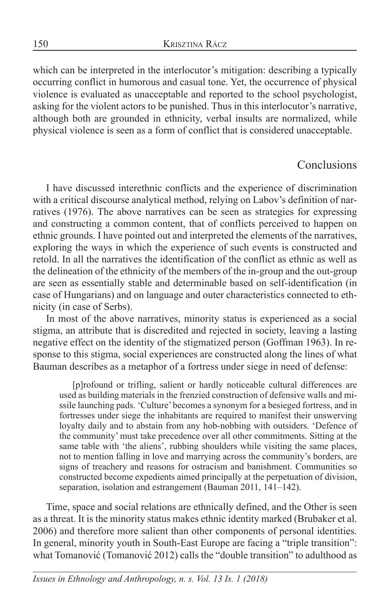which can be interpreted in the interlocutor's mitigation: describing a typically occurring conflict in humorous and casual tone. Yet, the occurrence of physical violence is evaluated as unacceptable and reported to the school psychologist, asking for the violent actors to be punished. Thus in this interlocutor's narrative, although both are grounded in ethnicity, verbal insults are normalized, while physical violence is seen as a form of conflict that is considered unacceptable.

## **Conclusions**

I have discussed interethnic conflicts and the experience of discrimination with a critical discourse analytical method, relying on Labov's definition of narratives (1976). The above narratives can be seen as strategies for expressing and constructing a common content, that of conflicts perceived to happen on ethnic grounds. I have pointed out and interpreted the elements of the narratives, exploring the ways in which the experience of such events is constructed and retold. In all the narratives the identification of the conflict as ethnic as well as the delineation of the ethnicity of the members of the in-group and the out-group are seen as essentially stable and determinable based on self-identification (in case of Hungarians) and on language and outer characteristics connected to ethnicity (in case of Serbs).

In most of the above narratives, minority status is experienced as a social stigma, an attribute that is discredited and rejected in society, leaving a lasting negative effect on the identity of the stigmatized person (Goffman 1963). In response to this stigma, social experiences are constructed along the lines of what Bauman describes as a metaphor of a fortress under siege in need of defense:

[p]rofound or trifling, salient or hardly noticeable cultural differences are used as building materials in the frenzied construction of defensive walls and missile launching pads. 'Culture' becomes a synonym for a besieged fortress, and in fortresses under siege the inhabitants are required to manifest their unswerving loyalty daily and to abstain from any hob-nobbing with outsiders. 'Defence of the community' must take precedence over all other commitments. Sitting at the same table with 'the aliens', rubbing shoulders while visiting the same places, not to mention falling in love and marrying across the community's borders, are signs of treachery and reasons for ostracism and banishment. Communities so constructed become expedients aimed principally at the perpetuation of division, separation, isolation and estrangement (Bauman 2011, 141–142).

Time, space and social relations are ethnically defined, and the Other is seen as a threat. It is the minority status makes ethnic identity marked (Brubaker et al. 2006) and therefore more salient than other components of personal identities. In general, minority youth in South-East Europe are facing a "triple transition": what Tomanović (Tomanović 2012) calls the "double transition" to adulthood as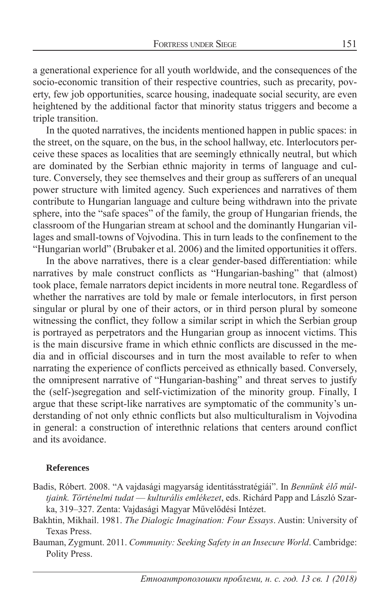a generational experience for all youth worldwide, and the consequences of the socio-economic transition of their respective countries, such as precarity, poverty, few job opportunities, scarce housing, inadequate social security, are even heightened by the additional factor that minority status triggers and become a triple transition.

In the quoted narratives, the incidents mentioned happen in public spaces: in the street, on the square, on the bus, in the school hallway, etc. Interlocutors perceive these spaces as localities that are seemingly ethnically neutral, but which are dominated by the Serbian ethnic majority in terms of language and culture. Conversely, they see themselves and their group as sufferers of an unequal power structure with limited agency. Such experiences and narratives of them contribute to Hungarian language and culture being withdrawn into the private sphere, into the "safe spaces" of the family, the group of Hungarian friends, the classroom of the Hungarian stream at school and the dominantly Hungarian villages and small-towns of Vojvodina. This in turn leads to the confinement to the "Hungarian world" (Brubaker et al. 2006) and the limited opportunities it offers.

In the above narratives, there is a clear gender-based differentiation: while narratives by male construct conflicts as "Hungarian-bashing" that (almost) took place, female narrators depict incidents in more neutral tone. Regardless of whether the narratives are told by male or female interlocutors, in first person singular or plural by one of their actors, or in third person plural by someone witnessing the conflict, they follow a similar script in which the Serbian group is portrayed as perpetrators and the Hungarian group as innocent victims. This is the main discursive frame in which ethnic conflicts are discussed in the media and in official discourses and in turn the most available to refer to when narrating the experience of conflicts perceived as ethnically based. Conversely, the omnipresent narrative of "Hungarian-bashing" and threat serves to justify the (self-)segregation and self-victimization of the minority group. Finally, I argue that these script-like narratives are symptomatic of the community's understanding of not only ethnic conflicts but also multiculturalism in Vojvodina in general: a construction of interethnic relations that centers around conflict and its avoidance.

#### **References**

- Badis, Róbert. 2008. "A vajdasági magyarság identitásstratégiái". In *Bennünk élő múltjaink. Történelmi tudat –– kulturális emlékezet*, eds. Richárd Papp and László Szarka, 319–327. Zenta: Vajdasági Magyar Művelődési Intézet.
- Bakhtin, Mikhail. 1981. *The Dialogic Imagination: Four Essays*. Austin: University of Texas Press.
- Bauman, Zygmunt. 2011. *Community: Seeking Safety in an Insecure World*. Cambridge: Polity Press.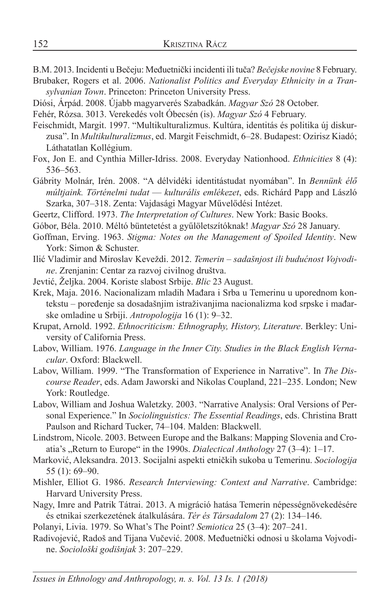- B.M. 2013. Incidenti u Bečeju: Međuetnički incidenti ili tuča? *Bečejske novine* 8 February.
- Brubaker, Rogers et al. 2006. *Nationalist Politics and Everyday Ethnicity in a Transylvanian Town*. Princeton: Princeton University Press.
- Diósi, Árpád. 2008. Újabb magyarverés Szabadkán. *Magyar Szó* 28 October.
- Fehér, Rózsa. 3013. Verekedés volt Óbecsén (is). *Magyar Szó* 4 February.
- Feischmidt, Margit. 1997. "Multikulturalizmus. Kultúra, identitás és politika új diskurzusa". In *Multikulturalizmus*, ed. Margit Feischmidt, 6–28. Budapest: Ozirisz Kiadó; Láthatatlan Kollégium.
- Fox, Jon E. and Cynthia Miller-Idriss. 2008. Everyday Nationhood. *Ethnicities* 8 (4): 536–563.
- Gábrity Molnár, Irén. 2008. "A délvidéki identitástudat nyomában". In *Bennünk élő múltjaink. Történelmi tudat –– kulturális emlékezet*, eds. Richárd Papp and László Szarka, 307–318. Zenta: Vajdasági Magyar Művelődési Intézet.
- Geertz, Clifford. 1973. *The Interpretation of Cultures*. New York: Basic Books.
- Góbor, Béla. 2010. Méltó büntetetést a gyűlöletszítóknak! *Magyar Szó* 28 January.
- Goffman, Erving. 1963. *Stigma: Notes on the Management of Spoiled Identity*. New York: Simon & Schuster.
- Ilić Vladimir and Miroslav Keveždi. 2012. *Temerin sadašnjost ili budućnost Vojvodine*. Zrenjanin: Centar za razvoj civilnog društva.
- Jevtić, Željka. 2004. Koriste slabost Srbije. *Blic* 23 August.
- Krek, Maja. 2016. Nacionalizam mladih Mađara i Srba u Temerinu u uporednom kontekstu – poređenje sa dosadašnjim istraživanjima nacionalizma kod srpske i mađarske omladine u Srbiji. *Antropologija* 16 (1): 9–32.
- Krupat, Arnold. 1992. *Ethnocriticism: Ethnography, History, Literature*. Berkley: University of California Press.
- Labov, William. 1976. *Language in the Inner City. Studies in the Black English Vernacular*. Oxford: Blackwell.
- Labov, William. 1999. "The Transformation of Experience in Narrative". In *The Discourse Reader*, eds. Adam Jaworski and Nikolas Coupland, 221–235. London; New York: Routledge.
- Labov, William and Joshua Waletzky. 2003. "Narrative Analysis: Oral Versions of Personal Experience." In *Sociolinguistics: The Essential Readings*, eds. Christina Bratt Paulson and Richard Tucker, 74–104. Malden: Blackwell.
- Lindstrom, Nicole. 2003. Between Europe and the Balkans: Mapping Slovenia and Croatia's "Return to Europe" in the 1990s. *Dialectical Anthology* 27 (3–4): 1–17.
- Marković, Aleksandra. 2013. Socijalni aspekti etničkih sukoba u Temerinu. *Sociologija* 55 (1): 69–90.
- Mishler, Elliot G. 1986. *Research Interviewing: Context and Narrative*. Cambridge: Harvard University Press.
- Nagy, Imre and Patrik Tátrai. 2013. A migráció hatása Temerin népességnövekedésére és etnikai szerkezetének átalkulására. *Tér és Társadalom* 27 (2): 134–146.

Polanyi, Livia. 1979. So What's The Point? *Semiotica* 25 (3–4): 207–241.

Radivojević, Radoš and Tijana Vučević. 2008. Međuetnički odnosi u školama Vojvodine. *Sociološki godišnjak* 3: 207–229.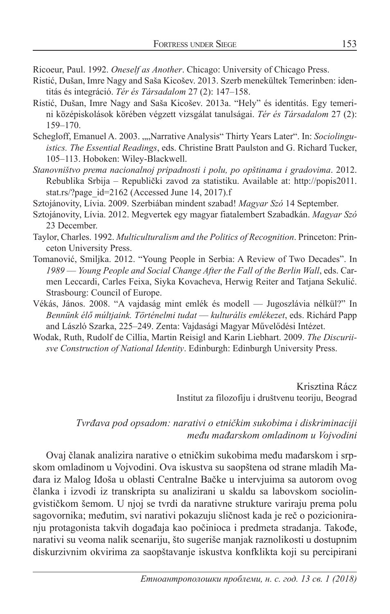Ricoeur, Paul. 1992. *Oneself as Another*. Chicago: University of Chicago Press.

- Ristić, Dušan, Imre Nagy and Saša Kicošev. 2013. Szerb menekültek Temerinben: identitás és integráció. *Tér és Társadalom* 27 (2): 147–158.
- Ristić, Dušan, Imre Nagy and Saša Kicošev. 2013a. "Hely" és identitás. Egy temerini középiskolások körében végzett vizsgálat tanulságai. *Tér és Társadalom* 27 (2): 159–170.
- Schegloff, Emanuel A. 2003. ""Narrative Analysis" Thirty Years Later". In: *Sociolinguistics. The Essential Readings*, eds. Christine Bratt Paulston and G. Richard Tucker, 105–113. Hoboken: Wiley-Blackwell.
- *Stanovništvo prema nacionalnoj pripadnosti i polu, po opštinama i gradovima*. 2012. Rebublika Srbija – Republički zavod za statistiku. Available at: http://popis2011. stat.rs/?page\_id=2162 (Accessed June 14, 2017).f
- Sztojánovity, Lívia. 2009. Szerbiában mindent szabad! *Magyar Szó* 14 September.
- Sztojánovity, Lívia. 2012. Megvertek egy magyar fiatalembert Szabadkán. *Magyar Szó* 23 December.
- Taylor, Charles. 1992. *Multiculturalism and the Politics of Recognition*. Princeton: Princeton University Press.
- Tomanović, Smiljka. 2012. "Young People in Serbia: A Review of Two Decades". In *1989 –– Young People and Social Change After the Fall of the Berlin Wall*, eds. Carmen Leccardi, Carles Feixa, Siyka Kovacheva, Herwig Reiter and Tatjana Sekulić. Strasbourg: Council of Europe.
- Vékás, János. 2008. "A vajdaság mint emlék és modell –– Jugoszlávia nélkül?" In *Bennünk élő múltjaink. Történelmi tudat –– kulturális emlékezet*, eds. Richárd Papp and László Szarka, 225–249. Zenta: Vajdasági Magyar Művelődési Intézet.
- Wodak, Ruth, Rudolf de Cillia, Martin Reisigl and Karin Liebhart. 2009. *The Discuriisve Construction of National Identity*. Edinburgh: Edinburgh University Press.

Krisztina Rácz Institut za filozofiju i društvenu teoriju, Beograd

#### *Tvrđava pod opsadom: narativi o etničkim sukobima i diskriminaciji među mađarskom omladinom u Vojvodini*

Ovaj članak analizira narative o etničkim sukobima među mađarskom i srpskom omladinom u Vojvodini. Ova iskustva su saopštena od strane mladih Mađara iz Malog Iđoša u oblasti Centralne Bačke u intervjuima sa autorom ovog članka i izvodi iz transkripta su analizirani u skaldu sa labovskom sociolingvističkom šemom. U njoj se tvrdi da narativne strukture variraju prema polu sagovornika; međutim, svi narativi pokazuju sličnost kada je reč o pozicioniranju protagonista takvih događaja kao počinioca i predmeta stradanja. Takođe, narativi su veoma nalik scenariju, što sugeriše manjak raznolikosti u dostupnim diskurzivnim okvirima za saopštavanje iskustva konfklikta koji su percipirani